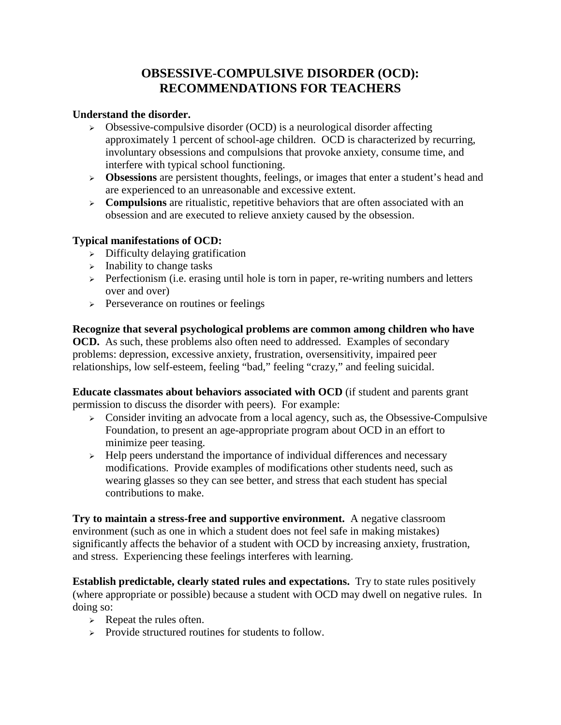# **OBSESSIVE-COMPULSIVE DISORDER (OCD): RECOMMENDATIONS FOR TEACHERS**

### **Understand the disorder.**

- $\triangleright$  Obsessive-compulsive disorder (OCD) is a neurological disorder affecting approximately 1 percent of school-age children. OCD is characterized by recurring, involuntary obsessions and compulsions that provoke anxiety, consume time, and interfere with typical school functioning.
- **Obsessions** are persistent thoughts, feelings, or images that enter a student's head and are experienced to an unreasonable and excessive extent.
- **Compulsions** are ritualistic, repetitive behaviors that are often associated with an obsession and are executed to relieve anxiety caused by the obsession.

#### **Typical manifestations of OCD:**

- $\triangleright$  Difficulty delaying gratification
- $\triangleright$  Inability to change tasks
- $\triangleright$  Perfectionism (i.e. erasing until hole is torn in paper, re-writing numbers and letters over and over)
- $\triangleright$  Perseverance on routines or feelings

**Recognize that several psychological problems are common among children who have OCD.** As such, these problems also often need to addressed.Examples of secondary problems: depression, excessive anxiety, frustration, oversensitivity, impaired peer relationships, low self-esteem, feeling "bad," feeling "crazy," and feeling suicidal.

**Educate classmates about behaviors associated with OCD** (if student and parents grant permission to discuss the disorder with peers). For example:

- $\triangleright$  Consider inviting an advocate from a local agency, such as, the Obsessive-Compulsive Foundation, to present an age-appropriate program about OCD in an effort to minimize peer teasing.
- $\rightarrow$  Help peers understand the importance of individual differences and necessary modifications. Provide examples of modifications other students need, such as wearing glasses so they can see better, and stress that each student has special contributions to make.

**Try to maintain a stress-free and supportive environment.** A negative classroom environment (such as one in which a student does not feel safe in making mistakes) significantly affects the behavior of a student with OCD by increasing anxiety, frustration, and stress. Experiencing these feelings interferes with learning.

**Establish predictable, clearly stated rules and expectations.** Try to state rules positively (where appropriate or possible) because a student with OCD may dwell on negative rules. In doing so:

- $\triangleright$  Repeat the rules often.
- $\triangleright$  Provide structured routines for students to follow.